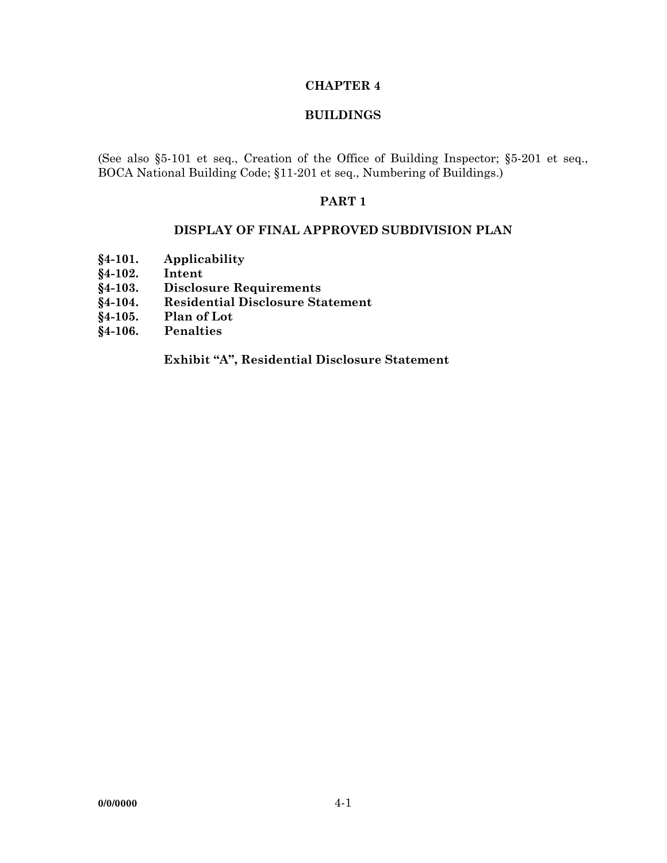## **CHAPTER 4**

### **BUILDINGS**

(See also §5-101 et seq., Creation of the Office of Building Inspector; §5-201 et seq., BOCA National Building Code; §11-201 et seq., Numbering of Buildings.)

#### **PART 1**

#### **DISPLAY OF FINAL APPROVED SUBDIVISION PLAN**

- **§4-101. Applicability**
- **§4-102. Intent**
- **§4-103. Disclosure Requirements**
- **§4-104. Residential Disclosure Statement**
- **§4-105. Plan of Lot**
- **§4-106. Penalties**

 **Exhibit "A", Residential Disclosure Statement**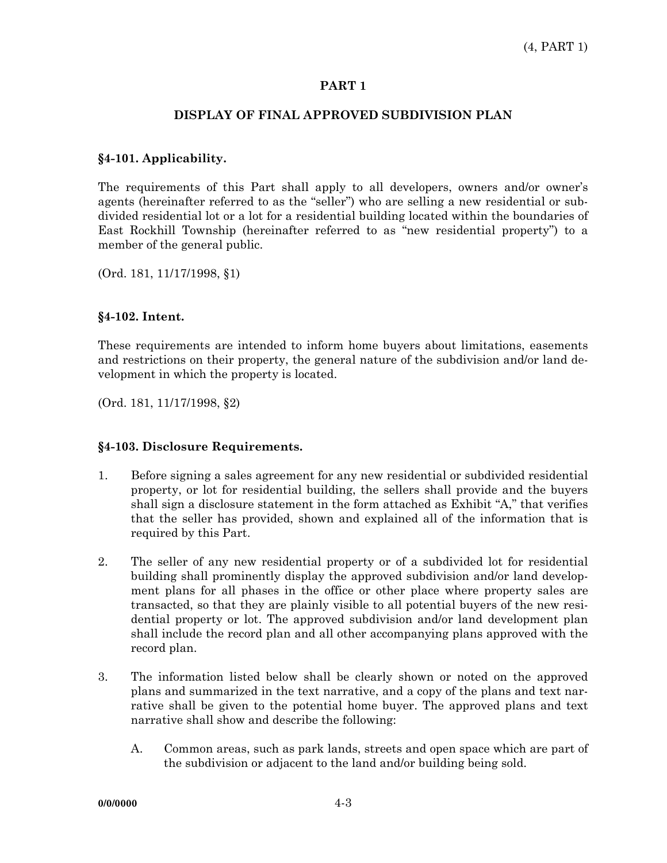### **PART 1**

# **DISPLAY OF FINAL APPROVED SUBDIVISION PLAN**

## **§4-101. Applicability.**

The requirements of this Part shall apply to all developers, owners and/or owner's agents (hereinafter referred to as the "seller") who are selling a new residential or subdivided residential lot or a lot for a residential building located within the boundaries of East Rockhill Township (hereinafter referred to as "new residential property") to a member of the general public.

(Ord. 181, 11/17/1998, §1)

# **§4-102. Intent.**

These requirements are intended to inform home buyers about limitations, easements and restrictions on their property, the general nature of the subdivision and/or land development in which the property is located.

(Ord. 181, 11/17/1998, §2)

### **§4-103. Disclosure Requirements.**

- 1. Before signing a sales agreement for any new residential or subdivided residential property, or lot for residential building, the sellers shall provide and the buyers shall sign a disclosure statement in the form attached as Exhibit "A," that verifies that the seller has provided, shown and explained all of the information that is required by this Part.
- 2. The seller of any new residential property or of a subdivided lot for residential building shall prominently display the approved subdivision and/or land development plans for all phases in the office or other place where property sales are transacted, so that they are plainly visible to all potential buyers of the new residential property or lot. The approved subdivision and/or land development plan shall include the record plan and all other accompanying plans approved with the record plan.
- 3. The information listed below shall be clearly shown or noted on the approved plans and summarized in the text narrative, and a copy of the plans and text narrative shall be given to the potential home buyer. The approved plans and text narrative shall show and describe the following:
	- A. Common areas, such as park lands, streets and open space which are part of the subdivision or adjacent to the land and/or building being sold.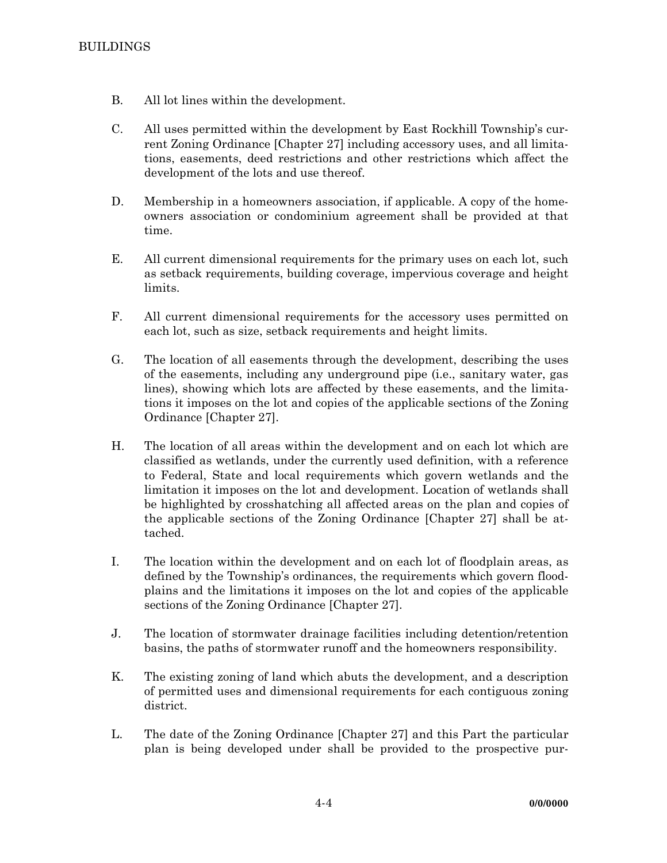- B. All lot lines within the development.
- C. All uses permitted within the development by East Rockhill Township's current Zoning Ordinance [Chapter 27] including accessory uses, and all limitations, easements, deed restrictions and other restrictions which affect the development of the lots and use thereof.
- D. Membership in a homeowners association, if applicable. A copy of the homeowners association or condominium agreement shall be provided at that time.
- E. All current dimensional requirements for the primary uses on each lot, such as setback requirements, building coverage, impervious coverage and height limits.
- F. All current dimensional requirements for the accessory uses permitted on each lot, such as size, setback requirements and height limits.
- G. The location of all easements through the development, describing the uses of the easements, including any underground pipe (i.e., sanitary water, gas lines), showing which lots are affected by these easements, and the limitations it imposes on the lot and copies of the applicable sections of the Zoning Ordinance [Chapter 27].
- H. The location of all areas within the development and on each lot which are classified as wetlands, under the currently used definition, with a reference to Federal, State and local requirements which govern wetlands and the limitation it imposes on the lot and development. Location of wetlands shall be highlighted by crosshatching all affected areas on the plan and copies of the applicable sections of the Zoning Ordinance [Chapter 27] shall be attached.
- I. The location within the development and on each lot of floodplain areas, as defined by the Township's ordinances, the requirements which govern floodplains and the limitations it imposes on the lot and copies of the applicable sections of the Zoning Ordinance [Chapter 27].
- J. The location of stormwater drainage facilities including detention/retention basins, the paths of stormwater runoff and the homeowners responsibility.
- K. The existing zoning of land which abuts the development, and a description of permitted uses and dimensional requirements for each contiguous zoning district.
- L. The date of the Zoning Ordinance [Chapter 27] and this Part the particular plan is being developed under shall be provided to the prospective pur-